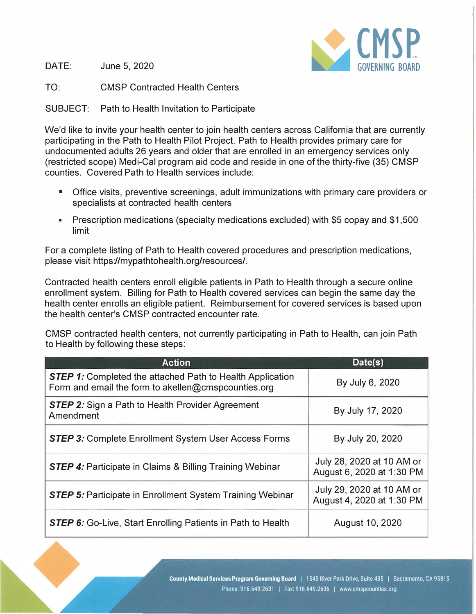

DATE: June 5, 2020

TO: CMSP Contracted Health Centers

SUBJECT: Path to Health Invitation to Participate

We'd like to invite your health center to join health centers across California that are currently participating in the Path to Health Pilot Project. Path to Health provides primary care for undocumented adults 26 years and older that are enrolled in an emergency services only (restricted scope) Medi-Cal program aid code and reside in one of the thirty-five (35) CMSP counties. Covered Path to Health services include:

- Office visits, preventive screenings, adult immunizations with primary care providers or specialists at contracted health centers
- Prescription medications (specialty medications excluded) with \$5 copay and \$1,500 limit

For a complete listing of Path to Health covered procedures and prescription medications, please visit https://mypathtohealth.org/resources/.

Contracted health centers enroll eligible patients in Path to Health through a secure online enrollment system. Billing for Path to Health covered services can begin the same day the health center enrolls an eligible patient. Reimbursement for covered services is based upon the health center's CMSP contracted encounter rate.

CMSP contracted health centers, not currently participating in Path to Health, can join Path to Health by following these steps:

| <b>Action</b>                                                                                                           | Date(s)                                                |
|-------------------------------------------------------------------------------------------------------------------------|--------------------------------------------------------|
| <b>STEP 1:</b> Completed the attached Path to Health Application<br>Form and email the form to akellen@cmspcounties.org | By July 6, 2020                                        |
| <b>STEP 2:</b> Sign a Path to Health Provider Agreement<br>Amendment                                                    | By July 17, 2020                                       |
| <b>STEP 3:</b> Complete Enrollment System User Access Forms                                                             | By July 20, 2020                                       |
| <b>STEP 4:</b> Participate in Claims & Billing Training Webinar                                                         | July 28, 2020 at 10 AM or<br>August 6, 2020 at 1:30 PM |
| <b>STEP 5:</b> Participate in Enrollment System Training Webinar                                                        | July 29, 2020 at 10 AM or<br>August 4, 2020 at 1:30 PM |
| <b>STEP 6:</b> Go-Live, Start Enrolling Patients in Path to Health                                                      | August 10, 2020                                        |